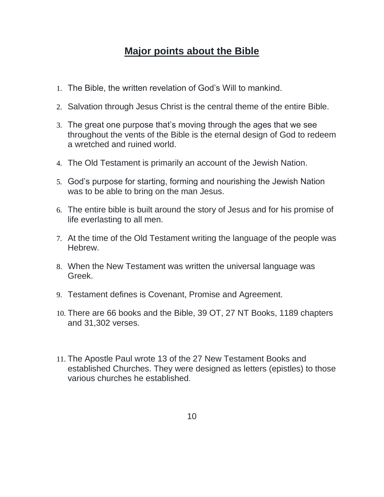# **Major points about the Bible**

- 1. The Bible, the written revelation of God's Will to mankind.
- 2. Salvation through Jesus Christ is the central theme of the entire Bible.
- 3. The great one purpose that's moving through the ages that we see throughout the vents of the Bible is the eternal design of God to redeem a wretched and ruined world.
- 4. The Old Testament is primarily an account of the Jewish Nation.
- 5. God's purpose for starting, forming and nourishing the Jewish Nation was to be able to bring on the man Jesus.
- 6. The entire bible is built around the story of Jesus and for his promise of life everlasting to all men.
- 7. At the time of the Old Testament writing the language of the people was Hebrew.
- 8. When the New Testament was written the universal language was Greek.
- 9. Testament defines is Covenant, Promise and Agreement.
- 10. There are 66 books and the Bible, 39 OT, 27 NT Books, 1189 chapters and 31,302 verses.
- 11. The Apostle Paul wrote 13 of the 27 New Testament Books and established Churches. They were designed as letters (epistles) to those various churches he established.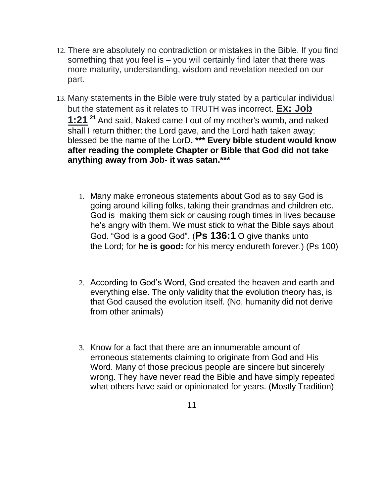- 12. There are absolutely no contradiction or mistakes in the Bible. If you find something that you feel is – you will certainly find later that there was more maturity, understanding, wisdom and revelation needed on our part.
- 13. Many statements in the Bible were truly stated by a particular individual but the statement as it relates to TRUTH was incorrect. **Ex: Job 1:21 <sup>21</sup>** And said, Naked came I out of my mother's womb, and naked shall I return thither: the Lord gave, and the Lord hath taken away; blessed be the name of the LorD**. \*\*\* Every bible student would know after reading the complete Chapter or Bible that God did not take anything away from Job- it was satan.\*\*\***
	- 1. Many make erroneous statements about God as to say God is going around killing folks, taking their grandmas and children etc. God is making them sick or causing rough times in lives because he's angry with them. We must stick to what the Bible says about God. "God is a good God". (**Ps 136:1** O give thanks unto the Lord; for **he is good:** for his mercy endureth forever.) (Ps 100)
	- 2. According to God's Word, God created the heaven and earth and everything else. The only validity that the evolution theory has, is that God caused the evolution itself. (No, humanity did not derive from other animals)
	- 3. Know for a fact that there are an innumerable amount of erroneous statements claiming to originate from God and His Word. Many of those precious people are sincere but sincerely wrong. They have never read the Bible and have simply repeated what others have said or opinionated for years. (Mostly Tradition)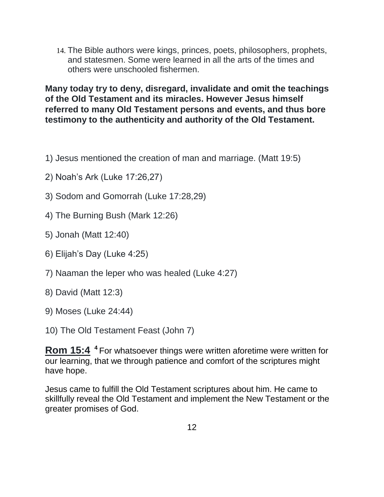14. The Bible authors were kings, princes, poets, philosophers, prophets, and statesmen. Some were learned in all the arts of the times and others were unschooled fishermen.

**Many today try to deny, disregard, invalidate and omit the teachings of the Old Testament and its miracles. However Jesus himself referred to many Old Testament persons and events, and thus bore testimony to the authenticity and authority of the Old Testament.**

- 1) Jesus mentioned the creation of man and marriage. (Matt 19:5)
- 2) Noah's Ark (Luke 17:26,27)
- 3) Sodom and Gomorrah (Luke 17:28,29)
- 4) The Burning Bush (Mark 12:26)
- 5) Jonah (Matt 12:40)
- 6) Elijah's Day (Luke 4:25)
- 7) Naaman the leper who was healed (Luke 4:27)
- 8) David (Matt 12:3)
- 9) Moses (Luke 24:44)
- 10) The Old Testament Feast (John 7)

**Rom 15:4 4** For whatsoever things were written aforetime were written for our learning, that we through patience and comfort of the scriptures might have hope.

Jesus came to fulfill the Old Testament scriptures about him. He came to skillfully reveal the Old Testament and implement the New Testament or the greater promises of God.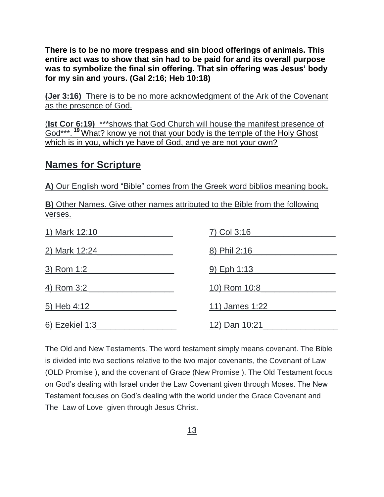**There is to be no more trespass and sin blood offerings of animals. This entire act was to show that sin had to be paid for and its overall purpose was to symbolize the final sin offering. That sin offering was Jesus' body for my sin and yours. (Gal 2:16; Heb 10:18)**

**(Jer 3:16)** There is to be no more acknowledgment of the Ark of the Covenant as the presence of God.

(**Ist Cor 6:19)** \*\*\*shows that God Church will house the manifest presence of God\*\*\*.<sup>19</sup> What? know ye not that your body is the temple of the Holy Ghost which is in you, which ye have of God, and ye are not your own?

## **Names for Scripture**

**A)** Our English word "Bible" comes from the Greek word biblios meaning book**.**

**B)** Other Names. Give other names attributed to the Bible from the following verses.

| 1) Mark 12:10  | 7) Col 3:16    |
|----------------|----------------|
| 2) Mark 12:24  | 8) Phil 2:16   |
| 3) Rom 1:2     | 9) Eph 1:13    |
| 4) Rom 3:2     | 10) Rom 10:8   |
| 5) Heb 4:12    | 11) James 1:22 |
| 6) Ezekiel 1:3 | 12) Dan 10:21  |

The Old and New Testaments. The word testament simply means covenant. The Bible is divided into two sections relative to the two major covenants, the Covenant of Law (OLD Promise ), and the covenant of Grace (New Promise ). The Old Testament focus on God's dealing with Israel under the Law Covenant given through Moses. The New Testament focuses on God's dealing with the world under the Grace Covenant and The Law of Love given through Jesus Christ.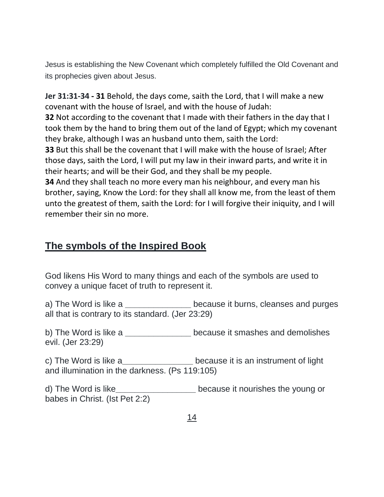Jesus is establishing the New Covenant which completely fulfilled the Old Covenant and its prophecies given about Jesus.

**Jer 31:31-34 - 31** Behold, the days come, saith the Lord, that I will make a new covenant with the house of Israel, and with the house of Judah:

**32** Not according to the covenant that I made with their fathers in the day that I took them by the hand to bring them out of the land of Egypt; which my covenant they brake, although I was an husband unto them, saith the Lord:

**33** But this shall be the covenant that I will make with the house of Israel; After those days, saith the Lord, I will put my law in their inward parts, and write it in their hearts; and will be their God, and they shall be my people.

**34** And they shall teach no more every man his neighbour, and every man his brother, saying, Know the Lord: for they shall all know me, from the least of them unto the greatest of them, saith the Lord: for I will forgive their iniquity, and I will remember their sin no more.

## **The symbols of the Inspired Book**

God likens His Word to many things and each of the symbols are used to convey a unique facet of truth to represent it.

a) The Word is like a **\_\_\_\_\_\_\_\_\_\_\_\_\_\_** because it burns, cleanses and purges all that is contrary to its standard. (Jer 23:29)

b) The Word is like a **\_\_\_\_\_\_\_\_\_\_\_\_\_\_** because it smashes and demolishes evil. (Jer 23:29)

c) The Word is like a**\_\_\_\_\_\_\_\_\_\_\_\_\_\_\_** because it is an instrument of light and illumination in the darkness. (Ps 119:105)

d) The Word is like**\_\_\_\_\_\_\_\_\_\_\_\_\_\_\_\_\_** because it nourishes the young or babes in Christ. (Ist Pet 2:2)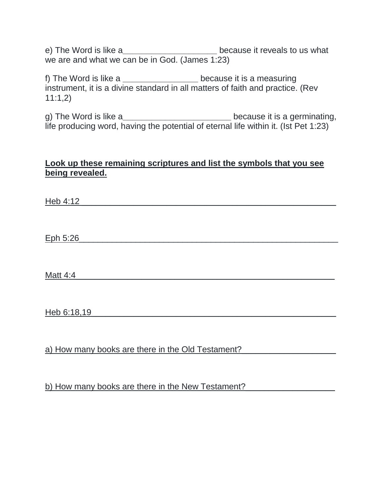e) The Word is like a**\_\_\_\_\_\_\_\_\_\_\_\_\_\_\_\_\_\_\_\_** because it reveals to us what we are and what we can be in God. (James 1:23)

f) The Word is like a **\_\_\_\_\_\_\_\_\_\_\_\_\_\_\_\_** because it is a measuring instrument, it is a divine standard in all matters of faith and practice. (Rev 11:1,2)

g) The Word is like a**\_\_\_\_\_\_\_\_\_\_\_\_\_\_\_\_\_\_\_\_\_\_\_** because it is a germinating, life producing word, having the potential of eternal life within it. (Ist Pet 1:23)

## **Look up these remaining scriptures and list the symbols that you see being revealed.**

 $\rm{Heb\ 4:12}$ 

 $Eph 5:26$ 

Matt 4:4 $\blacksquare$ 

Heb 6:18,19\_\_\_\_\_\_\_\_\_\_\_\_\_\_\_\_\_\_\_\_\_\_\_\_\_\_\_\_\_\_\_\_\_\_\_\_\_\_\_\_\_\_\_\_\_\_\_\_\_\_\_\_

a) How many books are there in the Old Testament?

b) How many books are there in the New Testament?